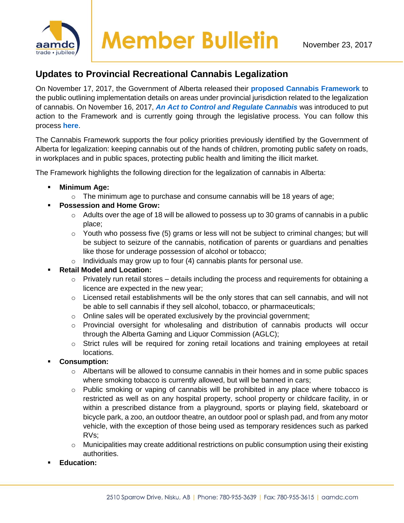

## **Updates to Provincial Recreational Cannabis Legalization**

On November 17, 2017, the Government of Alberta released their **[proposed Cannabis Framework](https://www.alberta.ca/cannabis-legalization.aspx)** to the public outlining implementation details on areas under provincial jurisdiction related to the legalization of cannabis. On November 16, 2017, *[An Act to Control and Regulate Cannabis](http://www.assembly.ab.ca/ISYS/LADDAR_files/docs/bills/bill/legislature_29/session_3/20170302_bill-026.pdf)* was introduced to put action to the Framework and is currently going through the legislative process. You can follow this process **[here](https://www.assembly.ab.ca/net/index.aspx?p=bills_status&selectbill=026&legl=29&session=3)**.

The Cannabis Framework supports the four policy priorities previously identified by the Government of Alberta for legalization: keeping cannabis out of the hands of children, promoting public safety on roads, in workplaces and in public spaces, protecting public health and limiting the illicit market.

The Framework highlights the following direction for the legalization of cannabis in Alberta:

- **Minimum Age:**
	- $\circ$  The minimum age to purchase and consume cannabis will be 18 years of age;
- **Possession and Home Grow:** 
	- $\circ$  Adults over the age of 18 will be allowed to possess up to 30 grams of cannabis in a public place;
	- $\circ$  Youth who possess five (5) grams or less will not be subject to criminal changes; but will be subject to seizure of the cannabis, notification of parents or guardians and penalties like those for underage possession of alcohol or tobacco;
	- $\circ$  Individuals may grow up to four (4) cannabis plants for personal use.
- **Retail Model and Location:** 
	- $\circ$  Privately run retail stores details including the process and requirements for obtaining a licence are expected in the new year;
	- $\circ$  Licensed retail establishments will be the only stores that can sell cannabis, and will not be able to sell cannabis if they sell alcohol, tobacco, or pharmaceuticals;
	- o Online sales will be operated exclusively by the provincial government;
	- o Provincial oversight for wholesaling and distribution of cannabis products will occur through the Alberta Gaming and Liquor Commission (AGLC);
	- $\circ$  Strict rules will be required for zoning retail locations and training employees at retail locations.
- **Consumption:** 
	- o Albertans will be allowed to consume cannabis in their homes and in some public spaces where smoking tobacco is currently allowed, but will be banned in cars;
	- $\circ$  Public smoking or vaping of cannabis will be prohibited in any place where tobacco is restricted as well as on any hospital property, school property or childcare facility, in or within a prescribed distance from a playground, sports or playing field, skateboard or bicycle park, a zoo, an outdoor theatre, an outdoor pool or splash pad, and from any motor vehicle, with the exception of those being used as temporary residences such as parked RVs;
	- $\circ$  Municipalities may create additional restrictions on public consumption using their existing authorities.
- Education: